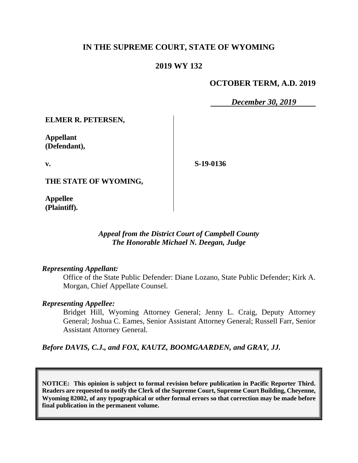# **IN THE SUPREME COURT, STATE OF WYOMING**

### **2019 WY 132**

### **OCTOBER TERM, A.D. 2019**

*December 30, 2019*

**ELMER R. PETERSEN,**

**Appellant (Defendant),**

**v.**

**S-19-0136**

**THE STATE OF WYOMING,**

**Appellee (Plaintiff).**

> *Appeal from the District Court of Campbell County The Honorable Michael N. Deegan, Judge*

#### *Representing Appellant:*

Office of the State Public Defender: Diane Lozano, State Public Defender; Kirk A. Morgan, Chief Appellate Counsel.

#### *Representing Appellee:*

Bridget Hill, Wyoming Attorney General; Jenny L. Craig, Deputy Attorney General; Joshua C. Eames, Senior Assistant Attorney General; Russell Farr, Senior Assistant Attorney General.

*Before DAVIS, C.J., and FOX, KAUTZ, BOOMGAARDEN, and GRAY, JJ.*

**NOTICE: This opinion is subject to formal revision before publication in Pacific Reporter Third. Readers are requested to notify the Clerk of the Supreme Court, Supreme Court Building, Cheyenne, Wyoming 82002, of any typographical or other formal errors so that correction may be made before final publication in the permanent volume.**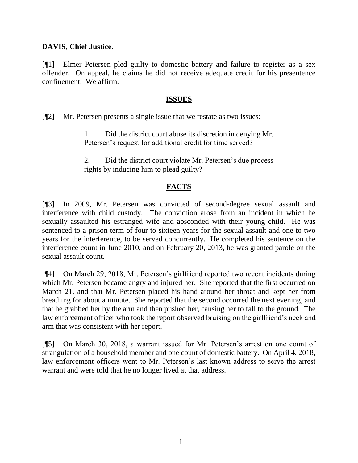### **DAVIS**, **Chief Justice**.

[¶1] Elmer Petersen pled guilty to domestic battery and failure to register as a sex offender. On appeal, he claims he did not receive adequate credit for his presentence confinement. We affirm.

#### **ISSUES**

[¶2] Mr. Petersen presents a single issue that we restate as two issues:

1. Did the district court abuse its discretion in denying Mr. Petersen's request for additional credit for time served?

2. Did the district court violate Mr. Petersen's due process rights by inducing him to plead guilty?

# **FACTS**

[¶3] In 2009, Mr. Petersen was convicted of second-degree sexual assault and interference with child custody. The conviction arose from an incident in which he sexually assaulted his estranged wife and absconded with their young child. He was sentenced to a prison term of four to sixteen years for the sexual assault and one to two years for the interference, to be served concurrently. He completed his sentence on the interference count in June 2010, and on February 20, 2013, he was granted parole on the sexual assault count.

[¶4] On March 29, 2018, Mr. Petersen's girlfriend reported two recent incidents during which Mr. Petersen became angry and injured her. She reported that the first occurred on March 21, and that Mr. Petersen placed his hand around her throat and kept her from breathing for about a minute. She reported that the second occurred the next evening, and that he grabbed her by the arm and then pushed her, causing her to fall to the ground. The law enforcement officer who took the report observed bruising on the girlfriend's neck and arm that was consistent with her report.

[¶5] On March 30, 2018, a warrant issued for Mr. Petersen's arrest on one count of strangulation of a household member and one count of domestic battery. On April 4, 2018, law enforcement officers went to Mr. Petersen's last known address to serve the arrest warrant and were told that he no longer lived at that address.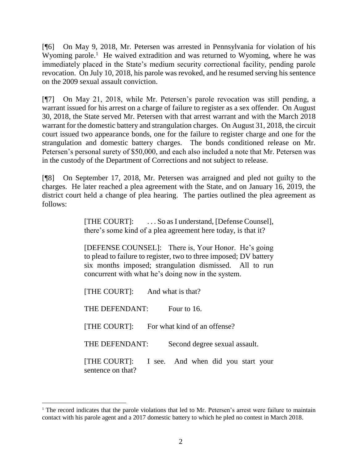[¶6] On May 9, 2018, Mr. Petersen was arrested in Pennsylvania for violation of his Wyoming parole.<sup>1</sup> He waived extradition and was returned to Wyoming, where he was immediately placed in the State's medium security correctional facility, pending parole revocation. On July 10, 2018, his parole was revoked, and he resumed serving his sentence on the 2009 sexual assault conviction.

[¶7] On May 21, 2018, while Mr. Petersen's parole revocation was still pending, a warrant issued for his arrest on a charge of failure to register as a sex offender. On August 30, 2018, the State served Mr. Petersen with that arrest warrant and with the March 2018 warrant for the domestic battery and strangulation charges. On August 31, 2018, the circuit court issued two appearance bonds, one for the failure to register charge and one for the strangulation and domestic battery charges. The bonds conditioned release on Mr. Petersen's personal surety of \$50,000, and each also included a note that Mr. Petersen was in the custody of the Department of Corrections and not subject to release.

[¶8] On September 17, 2018, Mr. Petersen was arraigned and pled not guilty to the charges. He later reached a plea agreement with the State, and on January 16, 2019, the district court held a change of plea hearing. The parties outlined the plea agreement as follows:

> [THE COURT]: . . . So as I understand, [Defense Counsel], there's some kind of a plea agreement here today, is that it?

> [DEFENSE COUNSEL]: There is, Your Honor. He's going to plead to failure to register, two to three imposed; DV battery six months imposed; strangulation dismissed. All to run concurrent with what he's doing now in the system.

[THE COURT]: And what is that?

THE DEFENDANT: Four to 16.

l

[THE COURT]: For what kind of an offense?

THE DEFENDANT: Second degree sexual assault.

[THE COURT]: I see. And when did you start your sentence on that?

<sup>&</sup>lt;sup>1</sup> The record indicates that the parole violations that led to Mr. Petersen's arrest were failure to maintain contact with his parole agent and a 2017 domestic battery to which he pled no contest in March 2018.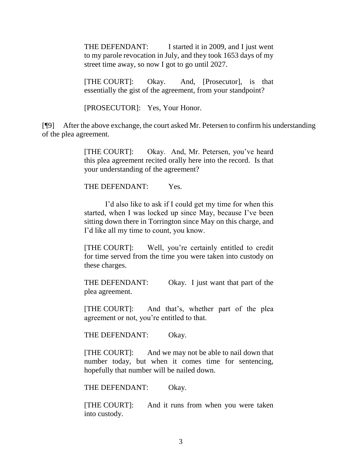THE DEFENDANT: I started it in 2009, and I just went to my parole revocation in July, and they took 1653 days of my street time away, so now I got to go until 2027.

[THE COURT]: Okay. And, [Prosecutor], is that essentially the gist of the agreement, from your standpoint?

[PROSECUTOR]: Yes, Your Honor.

[¶9] After the above exchange, the court asked Mr. Petersen to confirm his understanding of the plea agreement.

> [THE COURT]: Okay. And, Mr. Petersen, you've heard this plea agreement recited orally here into the record. Is that your understanding of the agreement?

THE DEFENDANT: Yes.

I'd also like to ask if I could get my time for when this started, when I was locked up since May, because I've been sitting down there in Torrington since May on this charge, and I'd like all my time to count, you know.

[THE COURT]: Well, you're certainly entitled to credit for time served from the time you were taken into custody on these charges.

THE DEFENDANT: Okay. I just want that part of the plea agreement.

[THE COURT]: And that's, whether part of the plea agreement or not, you're entitled to that.

THE DEFENDANT: Okay.

[THE COURT]: And we may not be able to nail down that number today, but when it comes time for sentencing, hopefully that number will be nailed down.

THE DEFENDANT: Okay.

[THE COURT]: And it runs from when you were taken into custody.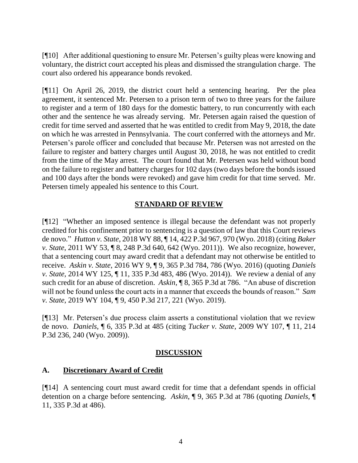[¶10] After additional questioning to ensure Mr. Petersen's guilty pleas were knowing and voluntary, the district court accepted his pleas and dismissed the strangulation charge. The court also ordered his appearance bonds revoked.

[¶11] On April 26, 2019, the district court held a sentencing hearing. Per the plea agreement, it sentenced Mr. Petersen to a prison term of two to three years for the failure to register and a term of 180 days for the domestic battery, to run concurrently with each other and the sentence he was already serving. Mr. Petersen again raised the question of credit for time served and asserted that he was entitled to credit from May 9, 2018, the date on which he was arrested in Pennsylvania. The court conferred with the attorneys and Mr. Petersen's parole officer and concluded that because Mr. Petersen was not arrested on the failure to register and battery charges until August 30, 2018, he was not entitled to credit from the time of the May arrest. The court found that Mr. Petersen was held without bond on the failure to register and battery charges for 102 days (two days before the bonds issued and 100 days after the bonds were revoked) and gave him credit for that time served. Mr. Petersen timely appealed his sentence to this Court.

# **STANDARD OF REVIEW**

[¶12] "Whether an imposed sentence is illegal because the defendant was not properly credited for his confinement prior to sentencing is a question of law that this Court reviews de novo." *Hutton v. State*, 2018 WY 88, ¶ 14, 422 P.3d 967, 970 (Wyo. 2018) (citing *[Baker](http://www.westlaw.com/Link/Document/FullText?findType=Y&serNum=2024855601&pubNum=0004645&originatingDoc=I7ace5a90977211e89fc9c0a8a8f09d21&refType=RP&fi=co_pp_sp_4645_642&originationContext=document&vr=3.0&rs=cblt1.0&transitionType=DocumentItem&contextData=(sc.Keycite)#co_pp_sp_4645_642)  v. State*[, 2011 WY 53, ¶ 8, 248 P.3d 640, 642 \(Wyo. 2011\)\)](http://www.westlaw.com/Link/Document/FullText?findType=Y&serNum=2024855601&pubNum=0004645&originatingDoc=I7ace5a90977211e89fc9c0a8a8f09d21&refType=RP&fi=co_pp_sp_4645_642&originationContext=document&vr=3.0&rs=cblt1.0&transitionType=DocumentItem&contextData=(sc.Keycite)#co_pp_sp_4645_642). We also recognize, however, that a sentencing court may award credit that a defendant may not otherwise be entitled to receive. *Askin v. State*, 2016 WY 9, ¶ 9, 365 P.3d 784, 786 (Wyo. 2016) (quoting *Daniels v. State*, 2014 WY 125, ¶ 11, 335 P.3d 483, 486 (Wyo. 2014)). We review a denial of any such credit for an abuse of discretion. *Askin*, ¶ 8, 365 P.3d at 786. "An abuse of discretion will not be found unless the court acts in a manner that exceeds the bounds of reason." *Sam v. State*, 2019 WY 104, ¶ 9, 450 P.3d 217, 221 (Wyo. 2019).

[¶13] Mr. Petersen's due process claim asserts a constitutional violation that we review de novo. *Daniels*, ¶ 6, 335 P.3d at 485 (citing *Tucker v. State*[, 2009 WY 107, ¶ 11, 214](http://www.westlaw.com/Link/Document/FullText?findType=Y&serNum=2019667453&pubNum=0004645&originatingDoc=Ibf6ec59d4f3b11e4b86bd602cb8781fa&refType=RP&fi=co_pp_sp_4645_240&originationContext=document&vr=3.0&rs=cblt1.0&transitionType=DocumentItem&contextData=(sc.UserEnteredCitation)#co_pp_sp_4645_240)  [P.3d 236, 240 \(Wyo.](http://www.westlaw.com/Link/Document/FullText?findType=Y&serNum=2019667453&pubNum=0004645&originatingDoc=Ibf6ec59d4f3b11e4b86bd602cb8781fa&refType=RP&fi=co_pp_sp_4645_240&originationContext=document&vr=3.0&rs=cblt1.0&transitionType=DocumentItem&contextData=(sc.UserEnteredCitation)#co_pp_sp_4645_240) 2009)).

### **DISCUSSION**

### **A. Discretionary Award of Credit**

[¶14] A sentencing court must award credit for time that a defendant spends in official detention on a charge before sentencing. *Askin*, ¶ 9, 365 P.3d at 786 (quoting *Daniels*, ¶ 11, 335 P.3d at 486).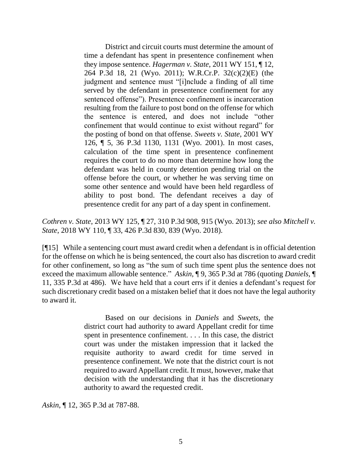District and circuit courts must determine the amount of time a defendant has spent in presentence confinement when they impose sentence. *[Hagerman v. State](http://www.westlaw.com/Link/Document/FullText?findType=Y&serNum=2026467920&pubNum=0004645&originatingDoc=I8be0307d321e11e380938e6f51729d80&refType=RP&fi=co_pp_sp_4645_21&originationContext=document&vr=3.0&rs=cblt1.0&transitionType=DocumentItem&contextData=(sc.UserEnteredCitation)#co_pp_sp_4645_21)*, 2011 WY 151, ¶ 12, [264 P.3d 18, 21 \(Wyo.](http://www.westlaw.com/Link/Document/FullText?findType=Y&serNum=2026467920&pubNum=0004645&originatingDoc=I8be0307d321e11e380938e6f51729d80&refType=RP&fi=co_pp_sp_4645_21&originationContext=document&vr=3.0&rs=cblt1.0&transitionType=DocumentItem&contextData=(sc.UserEnteredCitation)#co_pp_sp_4645_21) 2011); [W.R.Cr.P. 32\(c\)\(2\)\(E\)](http://www.westlaw.com/Link/Document/FullText?findType=L&pubNum=1008764&cite=WYRRCRPR32&originatingDoc=I8be0307d321e11e380938e6f51729d80&refType=LQ&originationContext=document&vr=3.0&rs=cblt1.0&transitionType=DocumentItem&contextData=(sc.UserEnteredCitation)) (the judgment and sentence must "[i]nclude a finding of all time served by the defendant in presentence confinement for any sentenced offense"). Presentence confinement is incarceration resulting from the failure to post bond on the offense for which the sentence is entered, and does not include "other confinement that would continue to exist without regard" for the posting of bond on that offense. *[Sweets v. State](http://www.westlaw.com/Link/Document/FullText?findType=Y&serNum=2001546561&pubNum=0004645&originatingDoc=I8be0307d321e11e380938e6f51729d80&refType=RP&fi=co_pp_sp_4645_1131&originationContext=document&vr=3.0&rs=cblt1.0&transitionType=DocumentItem&contextData=(sc.UserEnteredCitation)#co_pp_sp_4645_1131)*, 2001 WY [126, ¶ 5, 36 P.3d 1130, 1131 \(Wyo.](http://www.westlaw.com/Link/Document/FullText?findType=Y&serNum=2001546561&pubNum=0004645&originatingDoc=I8be0307d321e11e380938e6f51729d80&refType=RP&fi=co_pp_sp_4645_1131&originationContext=document&vr=3.0&rs=cblt1.0&transitionType=DocumentItem&contextData=(sc.UserEnteredCitation)#co_pp_sp_4645_1131) 2001). In most cases, calculation of the time spent in presentence confinement requires the court to do no more than determine how long the defendant was held in county detention pending trial on the offense before the court, or whether he was serving time on some other sentence and would have been held regardless of ability to post bond. The defendant receives a day of presentence credit for any part of a day spent in confinement.

*Cothren v. State*, 2013 WY 125, ¶ 27, 310 P.3d 908, 915 (Wyo. 2013); *see also Mitchell v. State*, 2018 WY 110, ¶ 33, 426 P.3d 830, 839 (Wyo. 2018).

[¶15] While a sentencing court must award credit when a defendant is in official detention for the offense on which he is being sentenced, the court also has discretion to award credit for other confinement, so long as "the sum of such time spent plus the sentence does not exceed the maximum allowable sentence." *Askin*, ¶ 9, 365 P.3d at 786 (quoting *Daniels*, ¶ 11, 335 P.3d at 486). We have held that a court errs if it denies a defendant's request for such discretionary credit based on a mistaken belief that it does not have the legal authority to award it.

> Based on our decisions in *Daniels* and *Sweets,* the district court had authority to award Appellant credit for time spent in presentence confinement. . . . In this case, the district court was under the mistaken impression that it lacked the requisite authority to award credit for time served in presentence confinement. We note that the district court is not required to award Appellant credit. It must, however, make that decision with the understanding that it has the discretionary authority to award the requested credit.

*Askin*, ¶ 12, 365 P.3d at 787-88.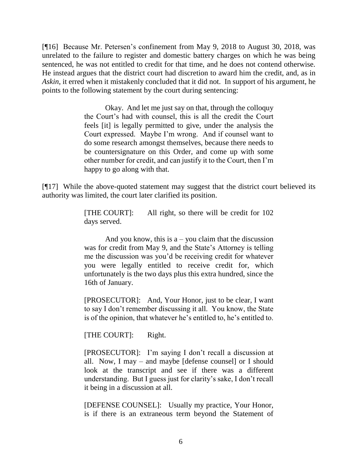[¶16] Because Mr. Petersen's confinement from May 9, 2018 to August 30, 2018, was unrelated to the failure to register and domestic battery charges on which he was being sentenced, he was not entitled to credit for that time, and he does not contend otherwise. He instead argues that the district court had discretion to award him the credit, and, as in *Askin*, it erred when it mistakenly concluded that it did not. In support of his argument, he points to the following statement by the court during sentencing:

> Okay. And let me just say on that, through the colloquy the Court's had with counsel, this is all the credit the Court feels [it] is legally permitted to give, under the analysis the Court expressed. Maybe I'm wrong. And if counsel want to do some research amongst themselves, because there needs to be countersignature on this Order, and come up with some other number for credit, and can justify it to the Court, then I'm happy to go along with that.

[¶17] While the above-quoted statement may suggest that the district court believed its authority was limited, the court later clarified its position.

> [THE COURT]: All right, so there will be credit for 102 days served.

> And you know, this is  $a - you claim that the discussion$ was for credit from May 9, and the State's Attorney is telling me the discussion was you'd be receiving credit for whatever you were legally entitled to receive credit for, which unfortunately is the two days plus this extra hundred, since the 16th of January.

> [PROSECUTOR]: And, Your Honor, just to be clear, I want to say I don't remember discussing it all. You know, the State is of the opinion, that whatever he's entitled to, he's entitled to.

[THE COURT]: Right.

[PROSECUTOR]: I'm saying I don't recall a discussion at all. Now, I may – and maybe [defense counsel] or I should look at the transcript and see if there was a different understanding. But I guess just for clarity's sake, I don't recall it being in a discussion at all.

[DEFENSE COUNSEL]: Usually my practice, Your Honor, is if there is an extraneous term beyond the Statement of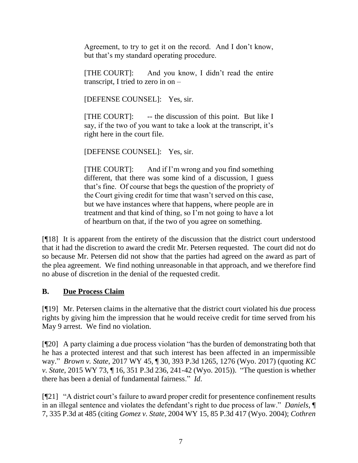Agreement, to try to get it on the record. And I don't know, but that's my standard operating procedure.

[THE COURT]: And you know, I didn't read the entire transcript, I tried to zero in on –

[DEFENSE COUNSEL]: Yes, sir.

[THE COURT]: -- the discussion of this point. But like I say, if the two of you want to take a look at the transcript, it's right here in the court file.

[DEFENSE COUNSEL]: Yes, sir.

[THE COURT]: And if I'm wrong and you find something different, that there was some kind of a discussion, I guess that's fine. Of course that begs the question of the propriety of the Court giving credit for time that wasn't served on this case, but we have instances where that happens, where people are in treatment and that kind of thing, so I'm not going to have a lot of heartburn on that, if the two of you agree on something.

[¶18] It is apparent from the entirety of the discussion that the district court understood that it had the discretion to award the credit Mr. Petersen requested. The court did not do so because Mr. Petersen did not show that the parties had agreed on the award as part of the plea agreement. We find nothing unreasonable in that approach, and we therefore find no abuse of discretion in the denial of the requested credit.

# **B. Due Process Claim**

[¶19] Mr. Petersen claims in the alternative that the district court violated his due process rights by giving him the impression that he would receive credit for time served from his May 9 arrest. We find no violation.

[¶20] A party claiming a due process violation "has the burden of demonstrating both that he has a protected interest and that such interest has been affected in an impermissible way." *Brown v. State*, 2017 WY 45, ¶ 30, 393 P.3d 1265, 1276 (Wyo. 2017) (quoting *KC v. State*, 2015 WY 73, ¶ 16, 351 P.3d 236, 241-42 (Wyo. 2015)). "The question is whether there has been a denial of fundamental fairness." *Id*.

[¶21] "A district court's failure to award proper credit for presentence confinement results in an illegal sentence and violates the defendant's right to due process of law." *Daniels*, ¶ 7, 335 P.3d at 485 (citing *Gomez v. State*, 2004 WY 15, 85 P.3d 417 (Wyo. 2004); *Cothren*